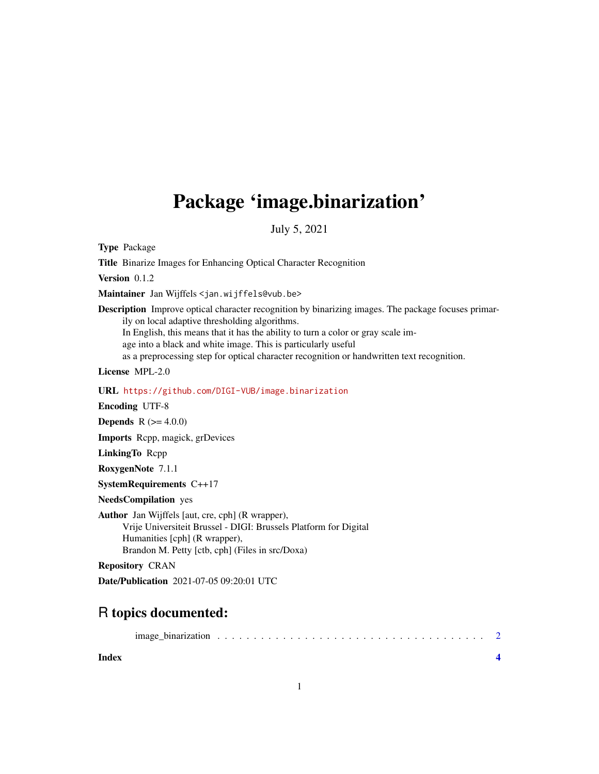## Package 'image.binarization'

July 5, 2021

Type Package

Title Binarize Images for Enhancing Optical Character Recognition Version 0.1.2 Maintainer Jan Wijffels <jan.wijffels@vub.be> Description Improve optical character recognition by binarizing images. The package focuses primarily on local adaptive thresholding algorithms. In English, this means that it has the ability to turn a color or gray scale image into a black and white image. This is particularly useful as a preprocessing step for optical character recognition or handwritten text recognition. License MPL-2.0 URL <https://github.com/DIGI-VUB/image.binarization> Encoding UTF-8 **Depends** R  $(>= 4.0.0)$ Imports Rcpp, magick, grDevices LinkingTo Rcpp RoxygenNote 7.1.1 SystemRequirements C++17 NeedsCompilation yes Author Jan Wijffels [aut, cre, cph] (R wrapper), Vrije Universiteit Brussel - DIGI: Brussels Platform for Digital Humanities [cph] (R wrapper), Brandon M. Petty [ctb, cph] (Files in src/Doxa) Repository CRAN Date/Publication 2021-07-05 09:20:01 UTC

### R topics documented:

|--|--|--|--|--|--|--|--|--|--|--|--|--|--|--|--|--|--|--|--|--|--|--|--|--|--|--|--|--|--|--|--|--|--|--|--|--|--|

**Index** [4](#page-3-0)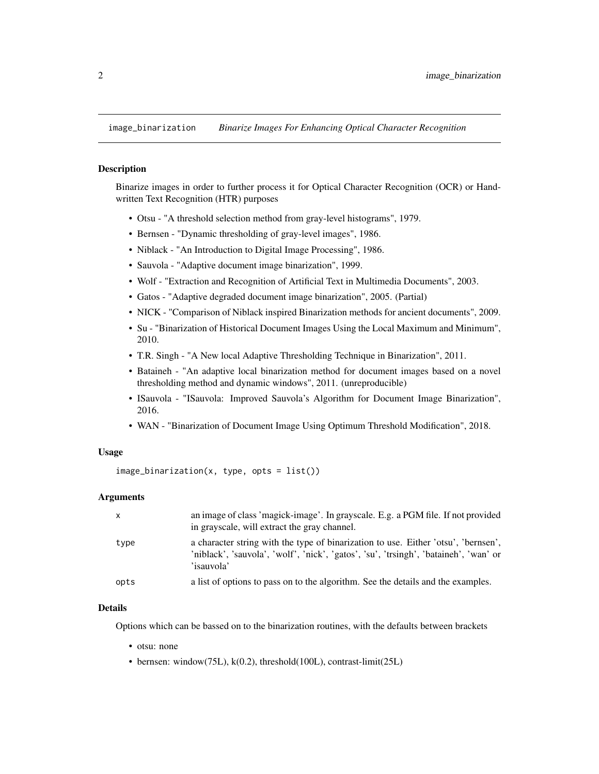<span id="page-1-0"></span>

#### Description

Binarize images in order to further process it for Optical Character Recognition (OCR) or Handwritten Text Recognition (HTR) purposes

- Otsu "A threshold selection method from gray-level histograms", 1979.
- Bernsen "Dynamic thresholding of gray-level images", 1986.
- Niblack "An Introduction to Digital Image Processing", 1986.
- Sauvola "Adaptive document image binarization", 1999.
- Wolf "Extraction and Recognition of Artificial Text in Multimedia Documents", 2003.
- Gatos "Adaptive degraded document image binarization", 2005. (Partial)
- NICK "Comparison of Niblack inspired Binarization methods for ancient documents", 2009.
- Su "Binarization of Historical Document Images Using the Local Maximum and Minimum", 2010.
- T.R. Singh "A New local Adaptive Thresholding Technique in Binarization", 2011.
- Bataineh "An adaptive local binarization method for document images based on a novel thresholding method and dynamic windows", 2011. (unreproducible)
- ISauvola "ISauvola: Improved Sauvola's Algorithm for Document Image Binarization", 2016.
- WAN "Binarization of Document Image Using Optimum Threshold Modification", 2018.

#### Usage

 $image\_binarization(x, type, opts = list())$ 

#### Arguments

| x    | an image of class 'magick-image'. In grayscale. E.g. a PGM file. If not provided<br>in grayscale, will extract the gray channel.                                                         |
|------|------------------------------------------------------------------------------------------------------------------------------------------------------------------------------------------|
| type | a character string with the type of binarization to use. Either 'otsu', 'bernsen',<br>'niblack', 'sauvola', 'wolf', 'nick', 'gatos', 'su', 'trsingh', 'bataineh', 'wan' or<br>'isauvola' |
| opts | a list of options to pass on to the algorithm. See the details and the examples.                                                                                                         |

#### Details

Options which can be bassed on to the binarization routines, with the defaults between brackets

- otsu: none
- bernsen: window(75L), k(0.2), threshold(100L), contrast-limit(25L)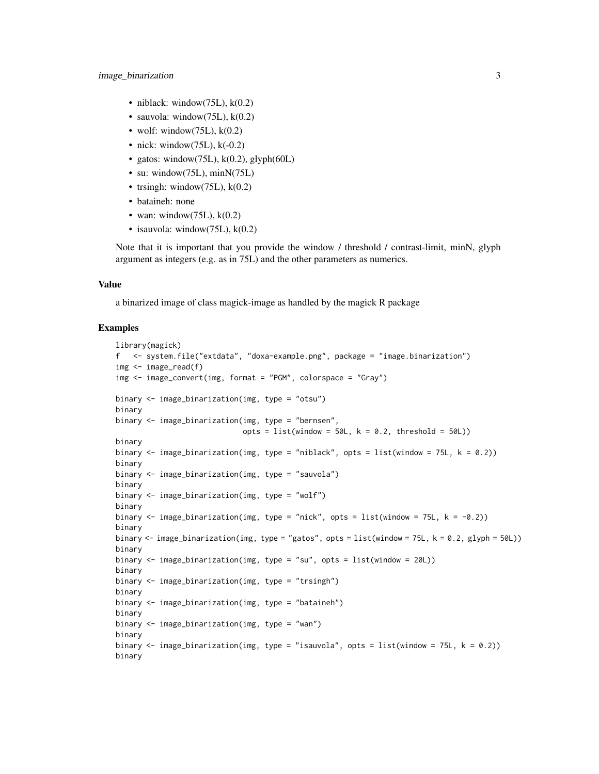- niblack: window(75L),  $k(0.2)$
- sauvola: window(75L), k(0.2)
- wolf: window(75L),  $k(0.2)$
- nick: window(75L),  $k(-0.2)$
- gatos: window(75L),  $k(0.2)$ , glyph(60L)
- su: window(75L), minN(75L)
- trsingh: window(75L),  $k(0.2)$
- bataineh: none
- wan: window(75L),  $k(0.2)$
- isauvola: window $(75L)$ , k $(0.2)$

Note that it is important that you provide the window / threshold / contrast-limit, minN, glyph argument as integers (e.g. as in 75L) and the other parameters as numerics.

#### Value

a binarized image of class magick-image as handled by the magick R package

#### Examples

```
library(magick)
f <- system.file("extdata", "doxa-example.png", package = "image.binarization")
img <- image_read(f)
img <- image_convert(img, format = "PGM", colorspace = "Gray")
binary <- image_binarization(img, type = "otsu")
binary
binary <- image_binarization(img, type = "bernsen",
                             opts = list(window = 50L, k = 0.2, threshold = 50L))binary
binary \le - image_binarization(img, type = "niblack", opts = list(window = 75L, k = 0.2))
binary
binary <- image_binarization(img, type = "sauvola")
binary
binary <- image_binarization(img, type = "wolf")
binary
binary \le image_binarization(img, type = "nick", opts = list(window = 75L, k = -0.2))
binary
binary <- image_binarization(img, type = "gatos", opts = list(window = 75L, k = 0.2, glyph = 50L))
binary
binary <- image_binarization(img, type = "su", opts = list(window = 20L))
binary
binary <- image_binarization(img, type = "trsingh")
binary
binary <- image_binarization(img, type = "bataineh")
binary
binary <- image_binarization(img, type = "wan")
binary
binary \le image_binarization(img, type = "isauvola", opts = list(window = 75L, k = 0.2))
binary
```